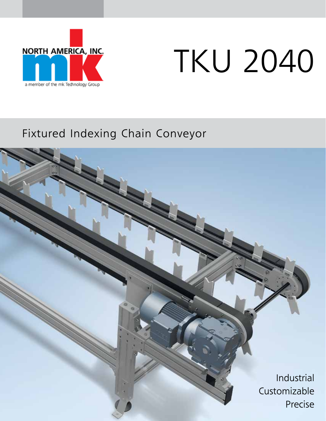

# TKU 2040

# Fixtured Indexing Chain Conveyor

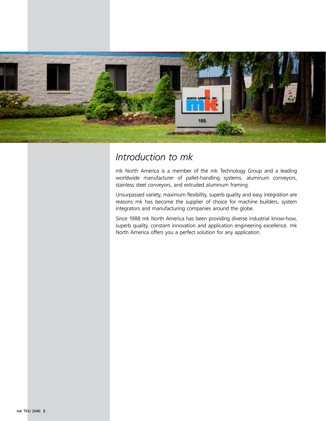

# *Introduction to mk*

mk North America is a member of the mk Technology Group and a leading worldwide manufacturer of pallet-handling systems, aluminum conveyors, stainless steel conveyors, and extruded aluminum framing.

Unsurpassed variety, maximum flexibility, superb quality and easy integration are reasons mk has become the supplier of choice for machine builders, system integrators and manufacturing companies around the globe.

Since 1988 mk North America has been providing diverse industrial know-how, superb quality, constant innovation and application engineering excellence. mk North America offers you a perfect solution for any application.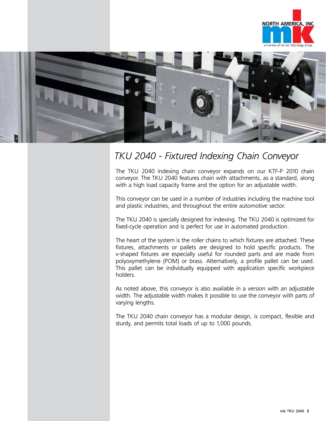



# *TKU 2040 - Fixtured Indexing Chain Conveyor*

The TKU 2040 indexing chain conveyor expands on our KTF-P 2010 chain conveyor. The TKU 2040 features chain with attachments, as a standard, along with a high load capacity frame and the option for an adjustable width.

This conveyor can be used in a number of industries including the machine tool and plastic industries, and throughout the entire automotive sector.

The TKU 2040 is specially designed for indexing. The TKU 2040 is optimized for fixed-cycle operation and is perfect for use in automated production.

The heart of the system is the roller chains to which fixtures are attached. These fixtures, attachments or pallets are designed to hold specific products. The v-shaped fixtures are especially useful for rounded parts and are made from polyoxymethylene (POM) or brass. Alternatively, a profile pallet can be used. This pallet can be individually equipped with application specific workpiece holders.

As noted above, this conveyor is also available in a version with an adjustable width. The adjustable width makes it possible to use the conveyor with parts of varying lengths.

The TKU 2040 chain conveyor has a modular design, is compact, flexible and sturdy, and permits total loads of up to 1,000 pounds.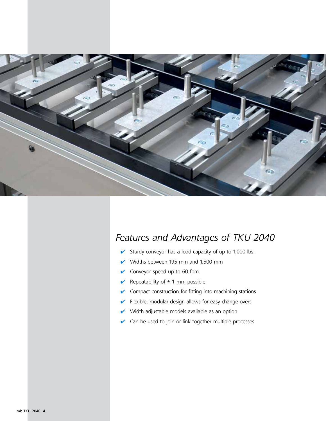

# *Features and Advantages of TKU 2040*

- $\checkmark$  Sturdy conveyor has a load capacity of up to 1,000 lbs.
- $\vee$  Widths between 195 mm and 1,500 mm
- $\checkmark$  Conveyor speed up to 60 fpm
- Repeatability of  $\pm$  1 mm possible
- $\checkmark$  Compact construction for fitting into machining stations
- $\triangleright$  Flexible, modular design allows for easy change-overs
- $\boldsymbol{\nu}$  Width adjustable models available as an option
- $\checkmark$  Can be used to join or link together multiple processes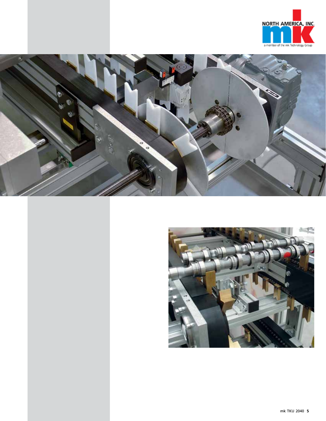



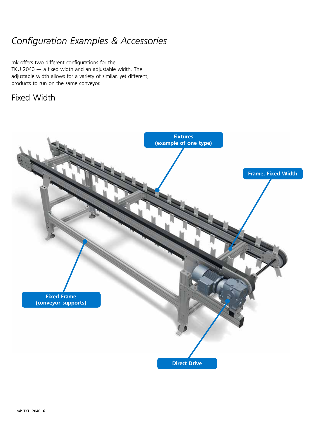# *Configuration Examples & Accessories*

mk offers two different configurations for the TKU 2040 — a fixed width and an adjustable width. The adjustable width allows for a variety of similar, yet different, products to run on the same conveyor.

## Fixed Width

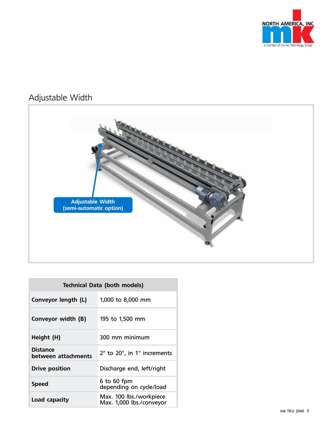

# Adjustable Width



| <b>Technical Data (both models)</b>    |                                                     |  |
|----------------------------------------|-----------------------------------------------------|--|
| Conveyor length (L)                    | 1,000 to 8,000 mm                                   |  |
| Conveyor width (B)                     | 195 to 1,500 mm                                     |  |
| Height (H)                             | 300 mm minimum                                      |  |
| <b>Distance</b><br>between attachments | 2" to 20", in 1" increments                         |  |
| <b>Drive position</b>                  | Discharge end, left/right                           |  |
| <b>Speed</b>                           | $6$ to $60$ fpm<br>depending on cycle/load          |  |
| Load capacity                          | Max. 100 lbs./workpiece<br>Max. 1,000 lbs./conveyor |  |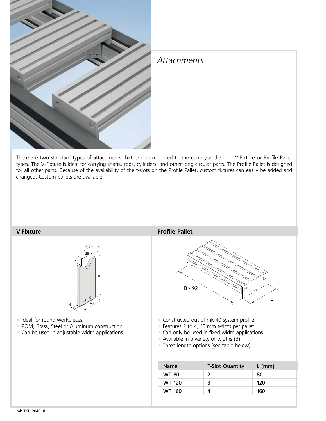

# *Attachments*

Profile Pallet

There are two standard types of attachments that can be mounted to the conveyor chain — V-Fixture or Profile Pallet types. The V-Fixture is ideal for carrying shafts, rods, cylinders, and other long circular parts. The Profile Pallet is designed for all other parts. Because of the availability of the t-slots on the Profile Pallet, custom fixtures can easily be added and changed. Custom pallets are available.

#### V-Fixture



- **Ideal for round workpieces**
- POM, Brass, Steel or Aluminum construction
- Can be used in adjustable width applications

# B - 92 L

- Constructed out of mk 40 system profile
- Features 2 to 4, 10 mm t-slots per pallet
- Can only be used in fixed width applications
- Available in a variety of widths (B)
- **Three length options (see table below)**

| <b>Name</b>   | <b>T-Slot Quantity</b> | $L$ (mm) |
|---------------|------------------------|----------|
| <b>WT 80</b>  | 2                      | 80       |
| <b>WT 120</b> | 3                      | 120      |
| <b>WT 160</b> |                        | 160      |
|               |                        |          |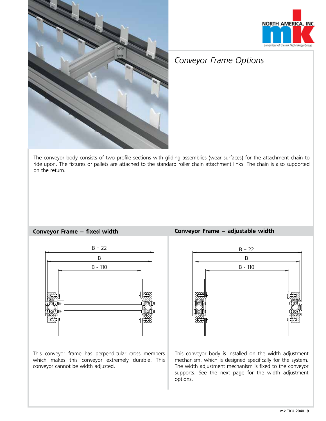



# *Conveyor Frame Options*

The conveyor body consists of two profile sections with gliding assemblies (wear surfaces) for the attachment chain to ride upon. The fixtures or pallets are attached to the standard roller chain attachment links. The chain is also supported on the return.



This conveyor frame has perpendicular cross members which makes this conveyor extremely durable. This conveyor cannot be width adjusted.

#### Conveyor Frame – fixed width Conveyor Frame – adjustable width



This conveyor body is installed on the width adjustment mechanism, which is designed specifically for the system. The width adjustment mechanism is fixed to the conveyor supports. See the next page for the width adjustment options.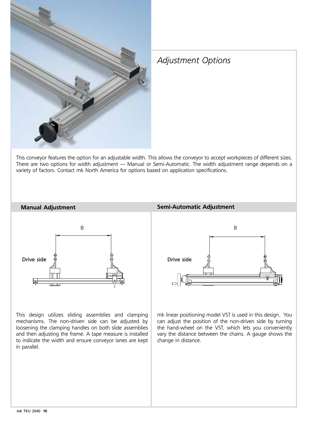

## *Adjustment Options*

This conveyor features the option for an adjustable width. This allows the conveyor to accept workpieces of different sizes. There are two options for width adjustment — Manual or Semi-Automatic. The width adjustment range depends on a variety of factors. Contact mk North America for options based on application specifications.



This design utilizes sliding assemblies and clamping mechanisms. The non-driven side can be adjusted by loosening the clamping handles on both slide assemblies and then adjusting the frame. A tape measure is installed to indicate the width and ensure conveyor lanes are kept in parallel.

#### Semi-Automatic Adjustment



mk linear positioning model VST is used in this design. You can adjust the position of the non-driven side by turning the hand-wheel on the VST, which lets you conveniently vary the distance between the chains. A gauge shows the change in distance.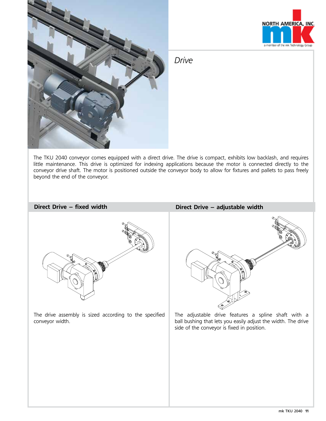



*Drive*

The TKU 2040 conveyor comes equipped with a direct drive. The drive is compact, exhibits low backlash, and requires little maintenance. This drive is optimized for indexing applications because the motor is connected directly to the conveyor drive shaft. The motor is positioned outside the conveyor body to allow for fixtures and pallets to pass freely beyond the end of the conveyor.

#### Direct Drive – fixed width Direct Drive – adjustable width



The drive assembly is sized according to the specified conveyor width.

The adjustable drive features a spline shaft with a ball bushing that lets you easily adjust the width. The drive side of the conveyor is fixed in position.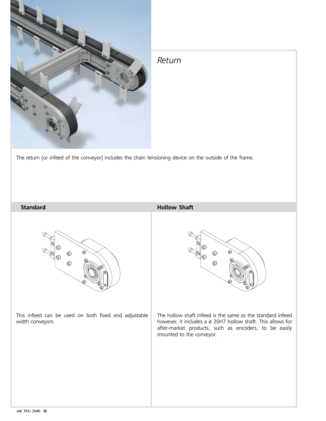

*Return*

Hollow Shaft

The return (or infeed of the conveyor) includes the chain tensioning device on the outside of the frame.

#### **Standard**

# $^{\circledR}$

This infeed can be used on both fixed and adjustable width conveyors.



The hollow shaft infeed is the same as the standard infeed however, it includes a ø 20H7 hollow shaft. This allows for after-market products, such as encoders, to be easily mounted to the conveyor.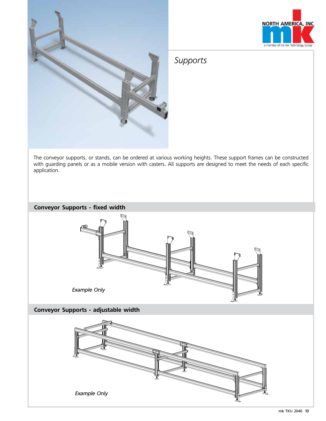



*Supports*

The conveyor supports, or stands, can be ordered at various working heights. These support frames can be constructed with guarding panels or as a mobile version with casters. All supports are designed to meet the needs of each specific application.

#### Conveyor Supports - fixed width



#### Conveyor Supports - adjustable width

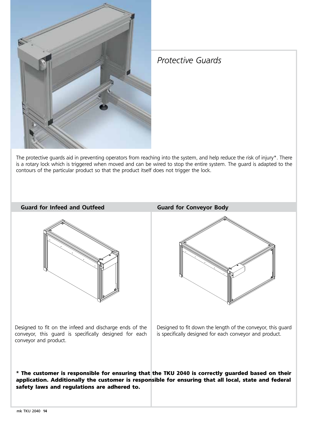

### *Protective Guards*

The protective guards aid in preventing operators from reaching into the system, and help reduce the risk of injury\*. There is a rotary lock which is triggered when moved and can be wired to stop the entire system. The guard is adapted to the contours of the particular product so that the product itself does not trigger the lock.

Guard for Infeed and Outfeed



Designed to fit on the infeed and discharge ends of the conveyor, this guard is specifically designed for each conveyor and product.

#### Guard for Conveyor Body



Designed to fit down the length of the conveyor, this guard is specifically designed for each conveyor and product.

**\* The customer is responsible for ensuring that the TKU 2040 is correctly guarded based on their application. Additionally the customer is responsible for ensuring that all local, state and federal safety laws and regulations are adhered to.**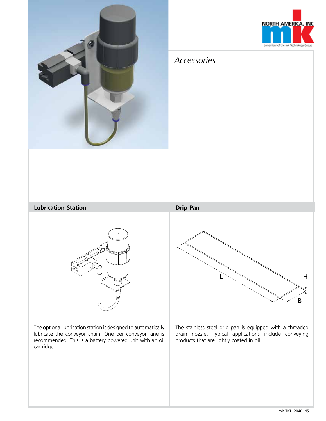



*Accessories*

#### **Lubrication Station Drip Pan**



The optional lubrication station is designed to automatically lubricate the conveyor chain. One per conveyor lane is recommended. This is a battery powered unit with an oil cartridge.



The stainless steel drip pan is equipped with a threaded drain nozzle. Typical applications include conveying products that are lightly coated in oil.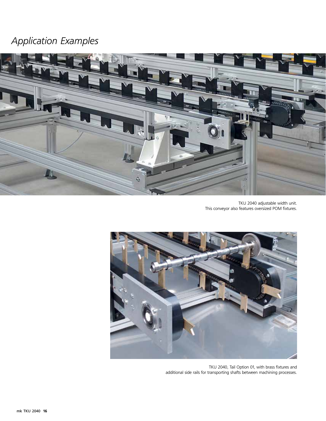# *Application Examples*



TKU 2040 adjustable width unit. This conveyor also features oversized POM fixtures.



TKU 2040, Tail Option 01, with brass fixtures and additional side rails for transporting shafts between machining processes.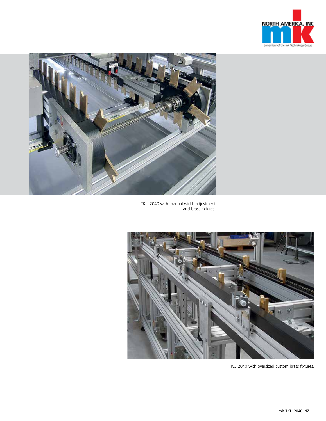



TKU 2040 with manual width adjustment and brass fixtures.



TKU 2040 with oversized custom brass fixtures.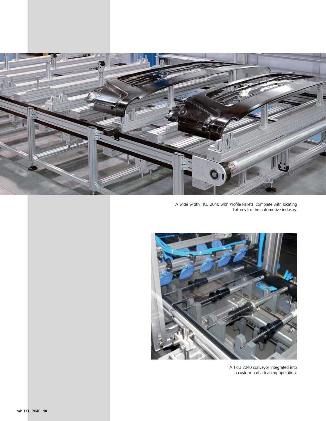

A wide width TKU 2040 with Profile Pallets, complete with locating fixtures for the automotive industry.



A TKU 2040 conveyor integrated into a custom parts cleaning operation.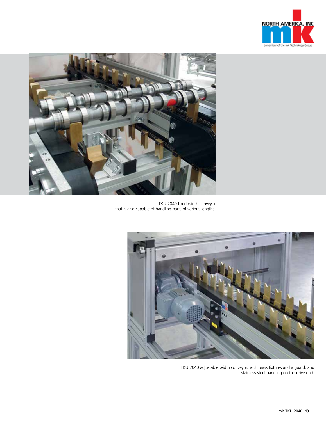



TKU 2040 fixed width conveyor that is also capable of handling parts of various lengths.



TKU 2040 adjustable width conveyor, with brass fixtures and a guard, and stainless steel paneling on the drive end.